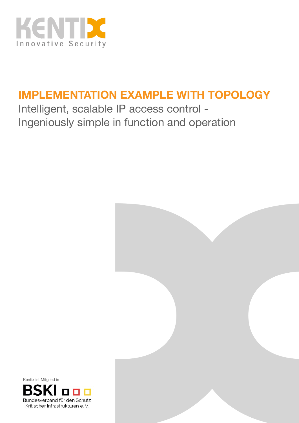

## **IMPLEMENTATION EXAMPLE WITH TOPOLOGY**

Intelligent, scalable IP access control - Ingeniously simple in function and operation



Kentix ist Mitglied im

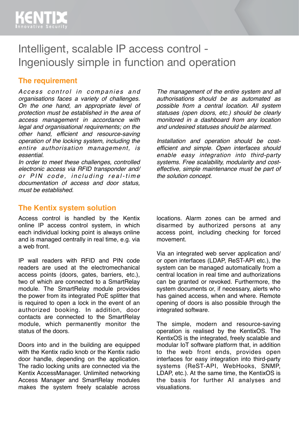## Intelligent, scalable IP access control - Ingeniously simple in function and operation

#### **The requirement**

Access control in companies and *organisations faces a variety of challenges. On the one hand, an appropriate level of protection must be established in the area of access management in accordance with legal and organisational requirements; on the other hand, efficient and resource-saving operation of the locking system, including the entire authorisation management, is essential.* 

*In order to meet these challenges, controlled electronic access via RFID transponder and/* or PIN code, including real-time *documentation of access and door status, must be established.*

#### **The Kentix system solution**

Access control is handled by the Kentix online IP access control system, in which each individual locking point is always online and is managed centrally in real time, e.g. via a web front.

IP wall readers with RFID and PIN code readers are used at the electromechanical access points (doors, gates, barriers, etc.), two of which are connected to a SmartRelay module. The SmartRelay module provides the power from its integrated PoE splitter that is required to open a lock in the event of an authorized booking. In addition, door contacts are connected to the SmartRelay module, which permanently monitor the status of the doors.

Doors into and in the building are equipped with the Kentix radio knob or the Kentix radio door handle, depending on the application. The radio locking units are connected via the Kentix AccessManager. Unlimited networking Access Manager and SmartRelay modules makes the system freely scalable across

*The management of the entire system and all authorisations should be as automated as possible from a central location. All system statuses (open doors, etc.) should be clearly monitored in a dashboard from any location and undesired statuses should be alarmed.* 

*Installation and operation should be costefficient and simple. Open interfaces should enable easy integration into third-party systems. Free scalability, modularity and costeffective, simple maintenance must be part of the solution concept.*

locations. Alarm zones can be armed and disarmed by authorized persons at any access point, including checking for forced movement.

Via an integrated web server application and/ or open interfaces (LDAP, ReST-API etc.), the system can be managed automatically from a central location in real time and authorizations can be granted or revoked. Furthermore, the system documents or, if necessary, alerts who has gained access, when and where. Remote opening of doors is also possible through the integrated software.

The simple, modern and resource-saving operation is realised by the KentixOS. The KentixOS is the integrated, freely scalable and modular IoT software platform that, in addition to the web front ends, provides open interfaces for easy integration into third-party systems (ReST-API, WebHooks, SNMP, LDAP, etc.). At the same time, the KentixOS is the basis for further AI analyses and visualiations.